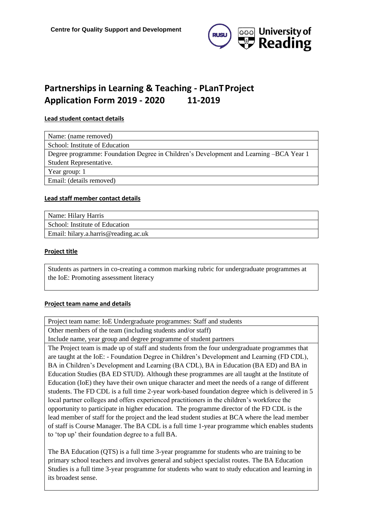

# **Partnerships in Learning & Teaching - PLanTProject Application Form 2019 - 2020 11-2019**

#### **Lead student contact details**

| Name: (name removed)                                                                   |
|----------------------------------------------------------------------------------------|
| School: Institute of Education                                                         |
| Degree programme: Foundation Degree in Children's Development and Learning –BCA Year 1 |
| Student Representative.                                                                |
| Year group: 1                                                                          |
| Email: (details removed)                                                               |

#### **Lead staff member contact details**

| Name: Hilary Harris                  |
|--------------------------------------|
| School: Institute of Education       |
| Email: hilary.a.harris@reading.ac.uk |

#### **Project title**

Students as partners in co-creating a common marking rubric for undergraduate programmes at the IoE: Promoting assessment literacy

#### **Project team name and details**

Project team name: IoE Undergraduate programmes: Staff and students

Other members of the team (including students and/or staff)

Include name, year group and degree programme of student partners

The Project team is made up of staff and students from the four undergraduate programmes that are taught at the IoE: - Foundation Degree in Children's Development and Learning (FD CDL), BA in Children's Development and Learning (BA CDL), BA in Education (BA ED) and BA in Education Studies (BA ED STUD). Although these programmes are all taught at the Institute of Education (IoE) they have their own unique character and meet the needs of a range of different students. The FD CDL is a full time 2-year work-based foundation degree which is delivered in 5 local partner colleges and offers experienced practitioners in the children's workforce the opportunity to participate in higher education. The programme director of the FD CDL is the lead member of staff for the project and the lead student studies at BCA where the lead member of staff is Course Manager. The BA CDL is a full time 1-year programme which enables students to 'top up' their foundation degree to a full BA.

The BA Education (QTS) is a full time 3-year programme for students who are training to be primary school teachers and involves general and subject specialist routes. The BA Education Studies is a full time 3-year programme for students who want to study education and learning in its broadest sense.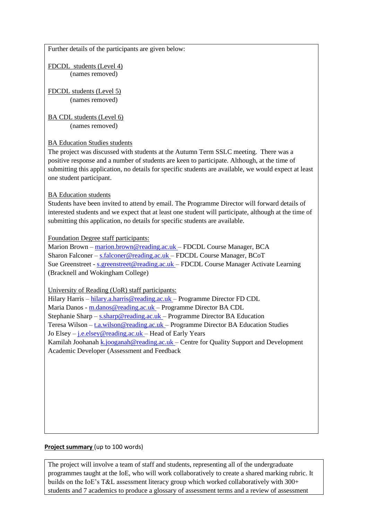Further details of the participants are given below:

FDCDL students (Level 4) (names removed)

FDCDL students (Level 5) (names removed)

BA CDL students (Level 6) (names removed)

# **BA Education Studies students**

The project was discussed with students at the Autumn Term SSLC meeting. There was a positive response and a number of students are keen to participate. Although, at the time of submitting this application, no details for specific students are available, we would expect at least one student participant.

# BA Education students

Students have been invited to attend by email. The Programme Director will forward details of interested students and we expect that at least one student will participate, although at the time of submitting this application, no details for specific students are available.

Foundation Degree staff participants:

Marion Brown – [marion.brown@reading.ac.uk –](mailto:marion.brown@reading.ac.uk) FDCDL Course Manager, BCA Sharon Falconer – [s.falconer@reading.ac.uk –](mailto:s.falconer@reading.ac.uk) FDCDL Course Manager, BCoT Sue Greenstreet - s.greenstreet@reading.ac.uk - FDCDL Course Manager Activate Learning (Bracknell and Wokingham College)

University of Reading (UoR) staff participants:

Hilary Harris – [hilary.a.harris@reading.ac.uk –](mailto:hilary.a.harris@reading.ac.uk) Programme Director FD CDL Maria Danos - [m.danos@reading.ac.uk –](mailto:m.danos@reading.ac.uk) Programme Director BA CDL Stephanie Sharp – [s.sharp@reading.ac.uk –](mailto:s.sharp@reading.ac.uk) Programme Director BA Education Teresa Wilson – [t.a.wilson@reading.ac.uk –](mailto:t.a.wilson@reading.ac.uk) Programme Director BA Education Studies Jo Elsey – [j.e.elsey@reading.ac.uk –](mailto:j.e.elsey@reading.ac.uk) Head of Early Years Kamilah Joohanah [k.jooganah@reading.ac.uk –](mailto:k.jooganah@reading.ac.uk) Centre for Quality Support and Development Academic Developer (Assessment and Feedback

# **Project summary** (up to 100 words)

The project will involve a team of staff and students, representing all of the undergraduate programmes taught at the IoE, who will work collaboratively to create a shared marking rubric. It builds on the IoE's T&L assessment literacy group which worked collaboratively with 300+ students and 7 academics to produce a glossary of assessment terms and a review of assessment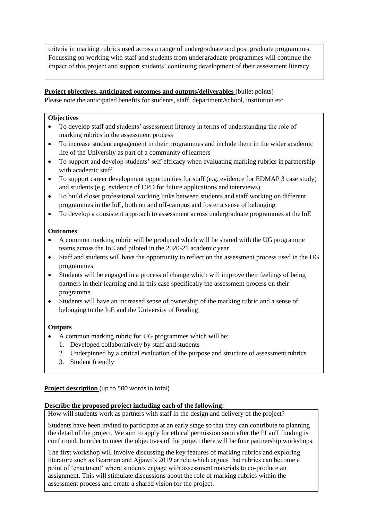criteria in marking rubrics used across a range of undergraduate and post graduate programmes. Focussing on working with staff and students from undergraduate programmes will continue the impact of this project and support students' continuing development of their assessment literacy.

#### **Project objectives, anticipated outcomes and outputs/deliverables** (bullet points)

Please note the anticipated benefits for students, staff, department/school, institution etc.

#### **Objectives**

- To develop staff and students' assessment literacy in terms of understanding the role of marking rubrics in the assessment process
- To increase student engagement in their programmes and include them in the wider academic life of the University as part of a community of learners
- To support and develop students' self-efficacy when evaluating marking rubrics in partnership with academic staff
- To support career development opportunities for staff (e.g. evidence for EDMAP 3 case study) and students (e.g. evidence of CPD for future applications and interviews)
- To build closer professional working links between students and staff working on different programmes in the IoE, both on and off-campus and foster a sense of belonging
- To develop a consistent approach to assessment across undergraduate programmes at the IoE

#### **Outcomes**

- A common marking rubric will be produced which will be shared with the UG programme teams across the IoE and piloted in the 2020-21 academic year
- Staff and students will have the opportunity to reflect on the assessment process used in the UG programmes
- Students will be engaged in a process of change which will improve their feelings of being partners in their learning and in this case specifically the assessment process on their programme
- Students will have an increased sense of ownership of the marking rubric and a sense of belonging to the IoE and the University of Reading

# **Outputs**

- A common marking rubric for UG programmes which will be:
	- 1. Developed collaboratively by staff and students
	- 2. Underpinned by a critical evaluation of the purpose and structure of assessmentrubrics
	- 3. Student friendly

# **Project description** (up to 500 words in total)

#### **Describe the proposed project including each of the following:**

How will students work as partners with staff in the design and delivery of the project?

Students have been invited to participate at an early stage so that they can contribute to planning the detail of the project. We aim to apply for ethical permission soon after the PLanT funding is confirmed. In order to meet the objectives of the project there will be four partnership workshops.

The first workshop will involve discussing the key features of marking rubrics and exploring literature such as Bearman and Ajjawi's 2019 article which argues that rubrics can become a point of 'enactment' where students engage with assessment materials to co-produce an assignment. This will stimulate discussions about the role of marking rubrics within the assessment process and create a shared vision for the project.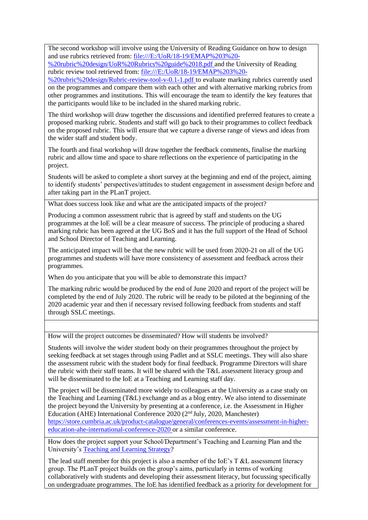The second workshop will involve using the University of Reading Guidance on how to design and use rubrics retrieved from: file:///E:/UoR/18-19/EMAP%203%20-

%20rubric%20design/UoR%20Rubrics%20guide%2018.pdf and the University of Reading rubric review tool retrieved from: file:///E:/UoR/18-19/EMAP%203%20-

%20rubric%20design/Rubric-review-tool-v-0.1-1.pdf to evaluate marking rubrics currently used on the programmes and compare them with each other and with alternative marking rubrics from other programmes and institutions. This will encourage the team to identify the key features that the participants would like to be included in the shared marking rubric.

The third workshop will draw together the discussions and identified preferred features to create a proposed marking rubric. Students and staff will go back to their programmes to collect feedback on the proposed rubric. This will ensure that we capture a diverse range of views and ideas from the wider staff and student body.

The fourth and final workshop will draw together the feedback comments, finalise the marking rubric and allow time and space to share reflections on the experience of participating in the project.

Students will be asked to complete a short survey at the beginning and end of the project, aiming to identify students' perspectives/attitudes to student engagement in assessment design before and after taking part in the PLanT project.

What does success look like and what are the anticipated impacts of the project?

Producing a common assessment rubric that is agreed by staff and students on the UG programmes at the IoE will be a clear measure of success. The principle of producing a shared marking rubric has been agreed at the UG BoS and it has the full support of the Head of School and School Director of Teaching and Learning.

The anticipated impact will be that the new rubric will be used from 2020-21 on all of the UG programmes and students will have more consistency of assessment and feedback across their programmes.

When do you anticipate that you will be able to demonstrate this impact?

The marking rubric would be produced by the end of June 2020 and report of the project will be completed by the end of July 2020. The rubric will be ready to be piloted at the beginning of the 2020 academic year and then if necessary revised following feedback from students and staff through SSLC meetings.

How will the project outcomes be disseminated? How will students be involved?

Students will involve the wider student body on their programmes throughout the project by seeking feedback at set stages through using Padlet and at SSLC meetings. They will also share the assessment rubric with the student body for final feedback. Programme Directors will share the rubric with their staff teams. It will be shared with the T&L assessment literacy group and will be disseminated to the IoE at a Teaching and Learning staff day.

The project will be disseminated more widely to colleagues at the University as a case study on the Teaching and Learning (T&L) exchange and as a blog entry. We also intend to disseminate the project beyond the University by presenting at a conference, i.e. the Assessment in Higher Education (AHE) International Conference 2020 ( $2<sup>nd</sup>$  July, 2020, Manchester) [https://store.cumbria.ac.uk/product-catalogue/general/conferences-events/assessment-in-higher](https://store.cumbria.ac.uk/product-catalogue/general/conferences-events/assessment-in-higher-education-ahe-international-conference-2020)[education-ahe-international-conference-2020](https://store.cumbria.ac.uk/product-catalogue/general/conferences-events/assessment-in-higher-education-ahe-international-conference-2020) or a similar conference.

How does the project support your School/Department's Teaching and Learning Plan and the University's [Teaching and Learning Strategy?](https://www.reading.ac.uk/about/teaching-and-learning/t-and-l-strategy.aspx)

The lead staff member for this project is also a member of the IoE's T &L assessment literacy group. The PLanT project builds on the group's aims, particularly in terms of working collaboratively with students and developing their assessment literacy, but focussing specifically on undergraduate programmes. The IoE has identified feedback as a priority for development for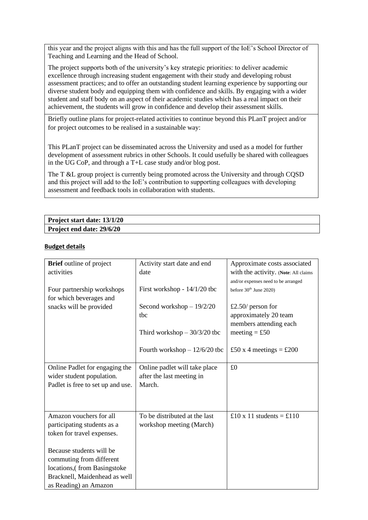this year and the project aligns with this and has the full support of the IoE's School Director of Teaching and Learning and the Head of School.

The project supports both of the university's key strategic priorities: to deliver academic excellence through increasing student engagement with their study and developing robust assessment practices; and to offer an outstanding student learning experience by supporting our diverse student body and equipping them with confidence and skills. By engaging with a wider student and staff body on an aspect of their academic studies which has a real impact on their achievement, the students will grow in confidence and develop their assessment skills.

Briefly outline plans for project-related activities to continue beyond this PLanT project and/or for project outcomes to be realised in a sustainable way:

This PLanT project can be disseminated across the University and used as a model for further development of assessment rubrics in other Schools. It could usefully be shared with colleagues in the UG CoP, and through a T+L case study and/or blog post.

The T &L group project is currently being promoted across the University and through CQSD and this project will add to the IoE's contribution to supporting colleagues with developing assessment and feedback tools in collaboration with students.

| Project start date: 13/1/20 |  |
|-----------------------------|--|
| Project end date: 29/6/20   |  |

#### **Budget details**

| <b>Brief</b> outline of project   | Activity start date and end    | Approximate costs associated         |
|-----------------------------------|--------------------------------|--------------------------------------|
| activities                        | date                           | with the activity. (Note: All claims |
|                                   |                                | and/or expenses need to be arranged  |
| Four partnership workshops        | First workshop - 14/1/20 tbc   | before 30 <sup>th</sup> June 2020)   |
| for which beverages and           |                                |                                      |
| snacks will be provided           | Second workshop $-19/2/20$     | £2.50/ person for                    |
|                                   | tbc                            | approximately 20 team                |
|                                   |                                | members attending each               |
|                                   | Third workshop $-30/3/20$ tbc  | meeting = £50                        |
|                                   |                                |                                      |
|                                   | Fourth workshop $-12/6/20$ tbc | £50 x 4 meetings = £200              |
|                                   |                                |                                      |
| Online Padlet for engaging the    | Online padlet will take place  | £0                                   |
| wider student population.         | after the last meeting in      |                                      |
| Padlet is free to set up and use. | March.                         |                                      |
|                                   |                                |                                      |
|                                   |                                |                                      |
| Amazon vouchers for all           | To be distributed at the last  | £10 x 11 students = £110             |
| participating students as a       | workshop meeting (March)       |                                      |
| token for travel expenses.        |                                |                                      |
|                                   |                                |                                      |
| Because students will be          |                                |                                      |
| commuting from different          |                                |                                      |
| locations, (from Basingstoke      |                                |                                      |
| Bracknell, Maidenhead as well     |                                |                                      |
| as Reading) an Amazon             |                                |                                      |